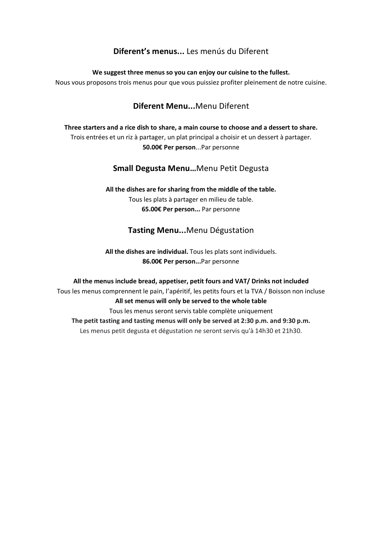# **Diferent's menus...** Les menús du Diferent

**We suggest three menus so you can enjoy our cuisine to the fullest.**

Nous vous proposons trois menus pour que vous puissiez profiter pleinement de notre cuisine.

### **Diferent Menu...**Menu Diferent

**Three starters and a rice dish to share, a main course to choose and a dessert to share.** Trois entrées et un riz à partager, un plat principal a choisir et un dessert à partager. **50.00€ Per person**...Par personne

### **Small Degusta Menu…**Menu Petit Degusta

#### **All the dishes are for sharing from the middle of the table.** Tous les plats à partager en milieu de table. **65.00€ Per person...** Par personne

# **Tasting Menu...**Menu Dégustation

**All the dishes are individual.** Tous les plats sont individuels. **86.00€ Per person...**Par personne

**All the menus include bread, appetiser, petit fours and VAT/ Drinks not included** Tous les menus comprennent le pain, l'apéritif, les petits fours et la TVA / Boisson non incluse **All set menus will only be served to the whole table** Tous les menus seront servis table complète uniquement **The petit tasting and tasting menus will only be served at 2:30 p.m. and 9:30 p.m.** Les menus petit degusta et dégustation ne seront servis qu'à 14h30 et 21h30.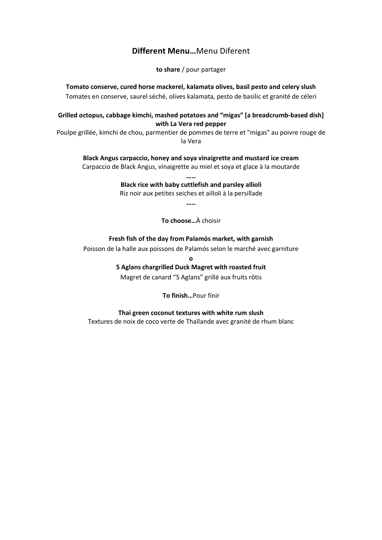### **Different Menu…**Menu Diferent

**to share** / pour partager

**Tomato conserve, cured horse mackerel, kalamata olives, basil pesto and celery slush** Tomates en conserve, saurel séché, olives kalamata, pesto de basilic et granité de céleri

**Grilled octopus, cabbage kimchi, mashed potatoes and "migas" [a breadcrumb-based dish] with La Vera red pepper**

Poulpe grillée, kimchi de chou, parmentier de pommes de terre et "migas" au poivre rouge de la Vera

**Black Angus carpaccio, honey and soya vinaigrette and mustard ice cream** Carpaccio de Black Angus, vinaigrette au miel et soya et glace à la moutarde

> **….. Black rice with baby cuttlefish and parsley allioli**

> Riz noir aux petites seiches et ailloli à la persillade

**…..**

**To choose…**À choisir

**Fresh fish of the day from Palamós market, with garnish**

Poisson de la halle aux poissons de Palamós selon le marché avec garniture

**o**

**5 Aglans chargrilled Duck Magret with roasted fruit**

Magret de canard "5 Aglans" grillé aux fruits rôtis

**To finish…**Pour finir

**Thai green coconut textures with white rum slush** Textures de noix de coco verte de Thaïlande avec granité de rhum blanc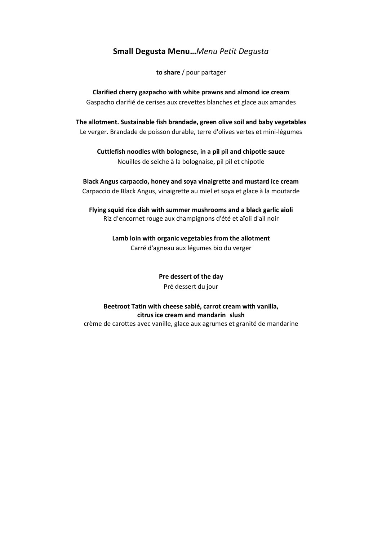### **Small Degusta Menu…***Menu Petit Degusta*

**to share** / pour partager

**Clarified cherry gazpacho with white prawns and almond ice cream** Gaspacho clarifié de cerises aux crevettes blanches et glace aux amandes

**The allotment. Sustainable fish brandade, green olive soil and baby vegetables** Le verger. Brandade de poisson durable, terre d'olives vertes et mini-légumes

**Cuttlefish noodles with bolognese, in a pil pil and chipotle sauce** Nouilles de seiche à la bolognaise, pil pil et chipotle

**Black Angus carpaccio, honey and soya vinaigrette and mustard ice cream** Carpaccio de Black Angus, vinaigrette au miel et soya et glace à la moutarde

**Flying squid rice dish with summer mushrooms and a black garlic aioli** Riz d'encornet rouge aux champignons d'été et aïoli d'ail noir

> **Lamb loin with organic vegetables from the allotment** Carré d'agneau aux légumes bio du verger

> > **Pre dessert of the day** Pré dessert du jour

**Beetroot Tatin with cheese sablé, carrot cream with vanilla, citrus ice cream and mandarin slush** crème de carottes avec vanille, glace aux agrumes et granité de mandarine